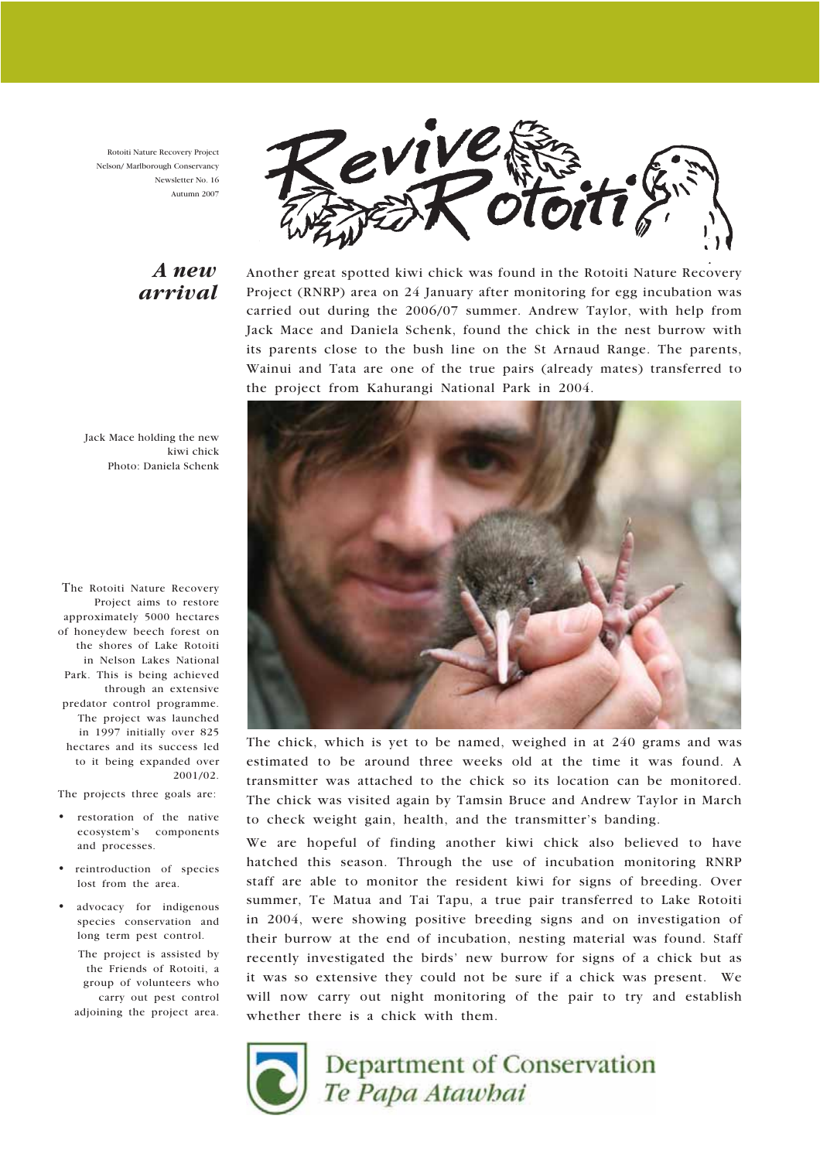Rotoiti Nature Recovery Project Nelson/ Marlborough Conservancy Newsletter No. 16 Autumn 2007

### A new arrival



Another great spotted kiwi chick was found in the Rotoiti Nature Recovery Project (RNRP) area on 24 January after monitoring for egg incubation was carried out during the 2006/07 summer. Andrew Taylor, with help from Jack Mace and Daniela Schenk, found the chick in the nest burrow with its parents close to the bush line on the St Arnaud Range. The parents, Wainui and Tata are one of the true pairs (already mates) transferred to the project from Kahurangi National Park in 2004.

Jack Mace holding the new kiwi chick Photo: Daniela Schenk

The Rotoiti Nature Recovery Project aims to restore approximately 5000 hectares of honeydew beech forest on the shores of Lake Rotoiti in Nelson Lakes National Park. This is being achieved through an extensive predator control programme. The project was launched in 1997 initially over 825 hectares and its success led to it being expanded over 2001/02.

The projects three goals are:

- restoration of the native ecosystem's components and processes.
- reintroduction of species lost from the area.
- advocacy for indigenous species conservation and long term pest control.

The project is assisted by the Friends of Rotoiti, a group of volunteers who carry out pest control adjoining the project area.



The chick, which is yet to be named, weighed in at 240 grams and was estimated to be around three weeks old at the time it was found. A transmitter was attached to the chick so its location can be monitored. The chick was visited again by Tamsin Bruce and Andrew Taylor in March to check weight gain, health, and the transmitter's banding.

We are hopeful of finding another kiwi chick also believed to have hatched this season. Through the use of incubation monitoring RNRP staff are able to monitor the resident kiwi for signs of breeding. Over summer, Te Matua and Tai Tapu, a true pair transferred to Lake Rotoiti in 2004, were showing positive breeding signs and on investigation of their burrow at the end of incubation, nesting material was found. Staff recently investigated the birds' new burrow for signs of a chick but as it was so extensive they could not be sure if a chick was present. We will now carry out night monitoring of the pair to try and establish whether there is a chick with them.



# Department of Conservation Te Papa Atawhai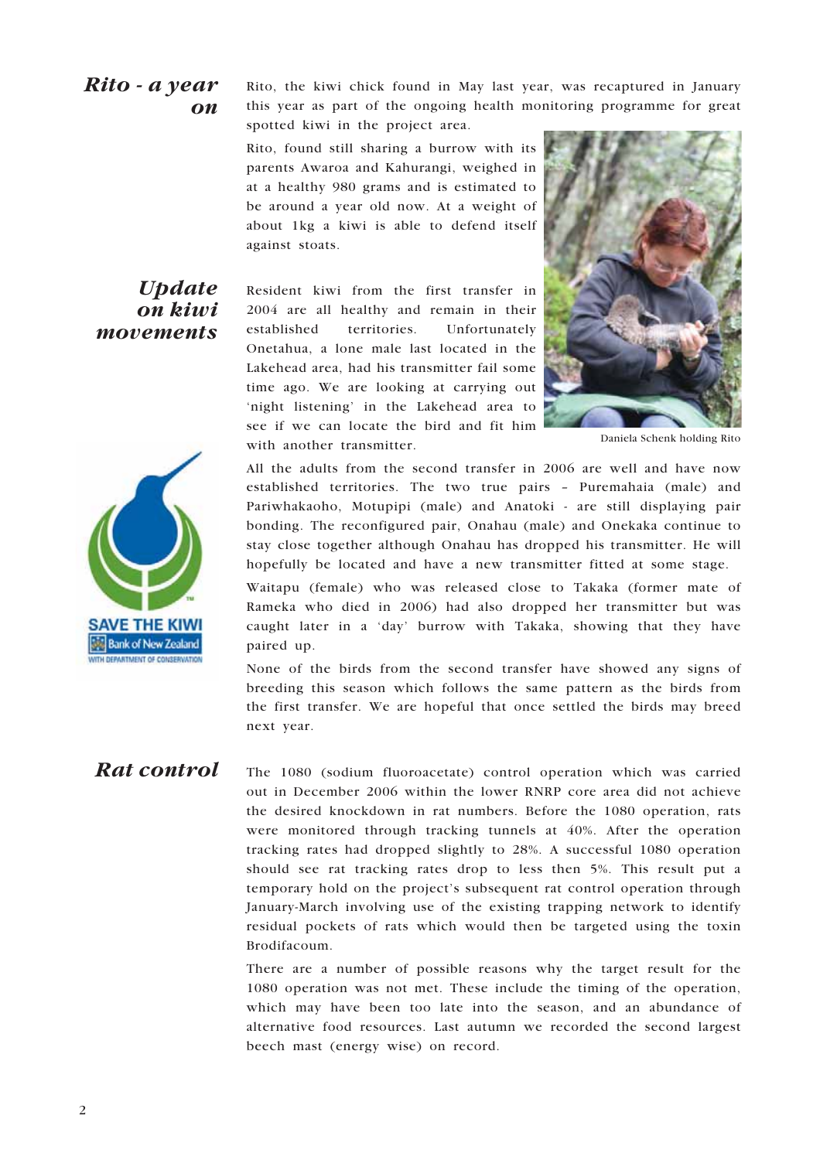### Rito - a year on

Rito, the kiwi chick found in May last year, was recaptured in January this year as part of the ongoing health monitoring programme for great spotted kiwi in the project area.

Rito, found still sharing a burrow with its parents Awaroa and Kahurangi, weighed in at a healthy 980 grams and is estimated to be around a year old now. At a weight of about 1kg a kiwi is able to defend itself against stoats.

### **Update** on kiwi movements



Resident kiwi from the first transfer in 2004 are all healthy and remain in their established territories. Unfortunately Onetahua, a lone male last located in the Lakehead area, had his transmitter fail some time ago. We are looking at carrying out 'night listening' in the Lakehead area to see if we can locate the bird and fit him with another transmitter.



Daniela Schenk holding Rito

All the adults from the second transfer in 2006 are well and have now established territories. The two true pairs – Puremahaia (male) and Pariwhakaoho, Motupipi (male) and Anatoki - are still displaying pair bonding. The reconfigured pair, Onahau (male) and Onekaka continue to stay close together although Onahau has dropped his transmitter. He will hopefully be located and have a new transmitter fitted at some stage.

Waitapu (female) who was released close to Takaka (former mate of Rameka who died in 2006) had also dropped her transmitter but was caught later in a 'day' burrow with Takaka, showing that they have paired up.

None of the birds from the second transfer have showed any signs of breeding this season which follows the same pattern as the birds from the first transfer. We are hopeful that once settled the birds may breed next year.

### Rat control

The 1080 (sodium fluoroacetate) control operation which was carried out in December 2006 within the lower RNRP core area did not achieve the desired knockdown in rat numbers. Before the 1080 operation, rats were monitored through tracking tunnels at 40%. After the operation tracking rates had dropped slightly to 28%. A successful 1080 operation should see rat tracking rates drop to less then 5%. This result put a temporary hold on the project's subsequent rat control operation through January-March involving use of the existing trapping network to identify residual pockets of rats which would then be targeted using the toxin Brodifacoum.

There are a number of possible reasons why the target result for the 1080 operation was not met. These include the timing of the operation, which may have been too late into the season, and an abundance of alternative food resources. Last autumn we recorded the second largest beech mast (energy wise) on record.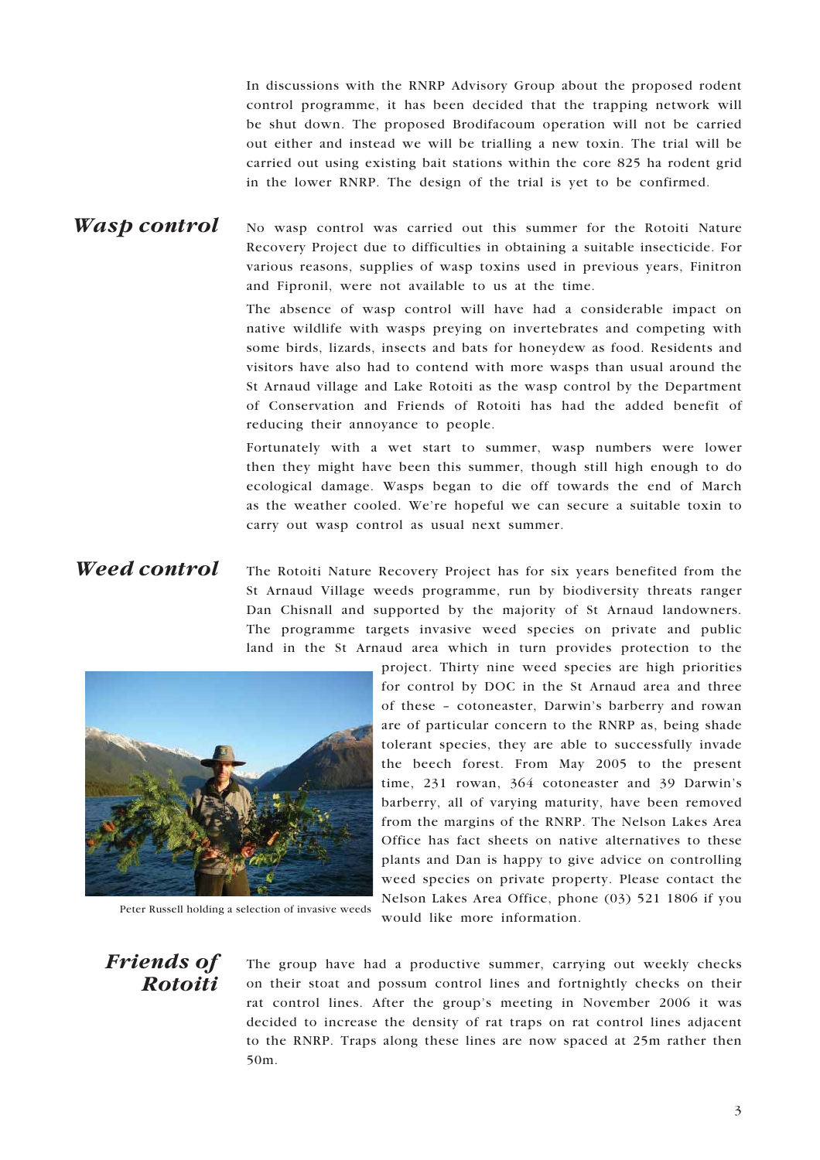In discussions with the RNRP Advisory Group about the proposed rodent control programme, it has been decided that the trapping network will be shut down. The proposed Brodifacoum operation will not be carried out either and instead we will be trialling a new toxin. The trial will be carried out using existing bait stations within the core 825 ha rodent grid in the lower RNRP. The design of the trial is yet to be confirmed.

#### No wasp control was carried out this summer for the Rotoiti Nature Recovery Project due to difficulties in obtaining a suitable insecticide. For various reasons, supplies of wasp toxins used in previous years, Finitron and Fipronil, were not available to us at the time. Wasp control

The absence of wasp control will have had a considerable impact on native wildlife with wasps preying on invertebrates and competing with some birds, lizards, insects and bats for honeydew as food. Residents and visitors have also had to contend with more wasps than usual around the St Arnaud village and Lake Rotoiti as the wasp control by the Department of Conservation and Friends of Rotoiti has had the added benefit of reducing their annoyance to people.

Fortunately with a wet start to summer, wasp numbers were lower then they might have been this summer, though still high enough to do ecological damage. Wasps began to die off towards the end of March as the weather cooled. We're hopeful we can secure a suitable toxin to carry out wasp control as usual next summer.

#### The Rotoiti Nature Recovery Project has for six years benefited from the St Arnaud Village weeds programme, run by biodiversity threats ranger Dan Chisnall and supported by the majority of St Arnaud landowners. The programme targets invasive weed species on private and public land in the St Arnaud area which in turn provides protection to the Weed control



Peter Russell holding a selection of invasive weeds

project. Thirty nine weed species are high priorities for control by DOC in the St Arnaud area and three of these – cotoneaster, Darwin's barberry and rowan are of particular concern to the RNRP as, being shade tolerant species, they are able to successfully invade the beech forest. From May 2005 to the present time, 231 rowan, 364 cotoneaster and 39 Darwin's barberry, all of varying maturity, have been removed from the margins of the RNRP. The Nelson Lakes Area Office has fact sheets on native alternatives to these plants and Dan is happy to give advice on controlling weed species on private property. Please contact the Nelson Lakes Area Office, phone (03) 521 1806 if you would like more information.

### Friends of Rotoiti

The group have had a productive summer, carrying out weekly checks on their stoat and possum control lines and fortnightly checks on their rat control lines. After the group's meeting in November 2006 it was decided to increase the density of rat traps on rat control lines adjacent to the RNRP. Traps along these lines are now spaced at 25m rather then 50m.